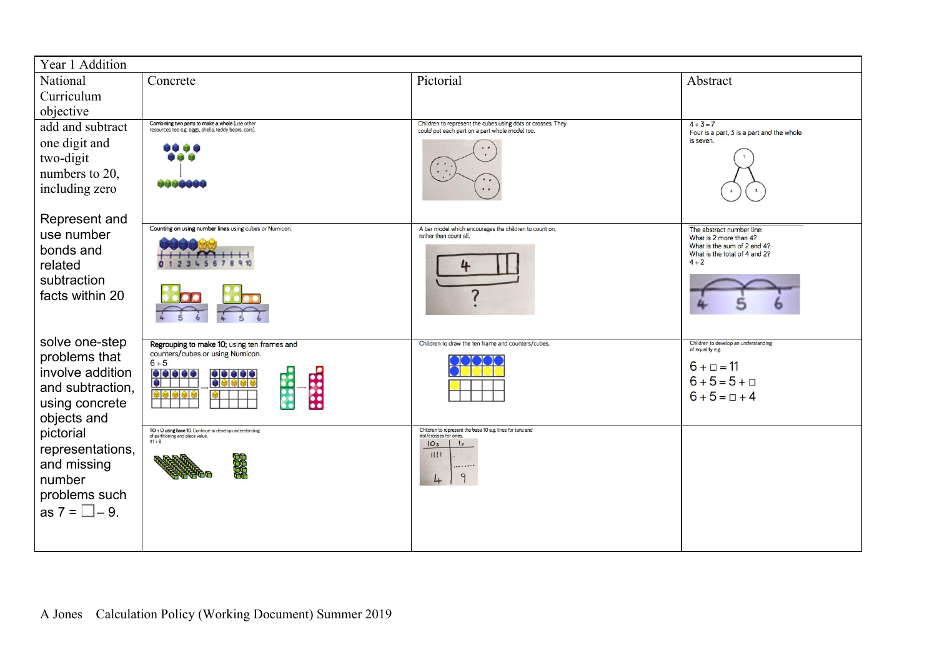| Year 1 Addition                                                                                                                                                                         |                                                                                                                                                                                  |                                                                                                                                                     |                                                                                                        |  |  |
|-----------------------------------------------------------------------------------------------------------------------------------------------------------------------------------------|----------------------------------------------------------------------------------------------------------------------------------------------------------------------------------|-----------------------------------------------------------------------------------------------------------------------------------------------------|--------------------------------------------------------------------------------------------------------|--|--|
| National                                                                                                                                                                                | Concrete                                                                                                                                                                         | Pictorial                                                                                                                                           | Abstract                                                                                               |  |  |
| Curriculum                                                                                                                                                                              |                                                                                                                                                                                  |                                                                                                                                                     |                                                                                                        |  |  |
| objective                                                                                                                                                                               |                                                                                                                                                                                  |                                                                                                                                                     |                                                                                                        |  |  |
| add and subtract                                                                                                                                                                        | Combining two parts to make a whole (use other<br>resources too e.g. eggs, shells, teddy bears, cars).                                                                           | Children to represent the cubes using dots or crosses. They<br>could put each part on a part whole model too.                                       | $4 + 3 = 7$<br>Four is a part, 3 is a part and the whole                                               |  |  |
| one digit and                                                                                                                                                                           | uu de                                                                                                                                                                            |                                                                                                                                                     | is seven.                                                                                              |  |  |
| two-digit                                                                                                                                                                               |                                                                                                                                                                                  |                                                                                                                                                     |                                                                                                        |  |  |
| numbers to 20,                                                                                                                                                                          | <b>UNJUGU</b>                                                                                                                                                                    |                                                                                                                                                     |                                                                                                        |  |  |
| including zero                                                                                                                                                                          |                                                                                                                                                                                  |                                                                                                                                                     |                                                                                                        |  |  |
| Represent and                                                                                                                                                                           |                                                                                                                                                                                  |                                                                                                                                                     |                                                                                                        |  |  |
| use number                                                                                                                                                                              | Counting on using number lines using cubes or Numicon.                                                                                                                           | A bar model which encourages the children to count on,<br>rather than count all.                                                                    | The abstract number line:<br>What is 2 more than 4?                                                    |  |  |
| bonds and                                                                                                                                                                               |                                                                                                                                                                                  |                                                                                                                                                     | What is the sum of 2 and 4?<br>What is the total of 4 and 2?                                           |  |  |
| related                                                                                                                                                                                 |                                                                                                                                                                                  |                                                                                                                                                     | $4 + 2$                                                                                                |  |  |
|                                                                                                                                                                                         |                                                                                                                                                                                  |                                                                                                                                                     |                                                                                                        |  |  |
|                                                                                                                                                                                         |                                                                                                                                                                                  |                                                                                                                                                     |                                                                                                        |  |  |
|                                                                                                                                                                                         |                                                                                                                                                                                  |                                                                                                                                                     |                                                                                                        |  |  |
|                                                                                                                                                                                         |                                                                                                                                                                                  |                                                                                                                                                     |                                                                                                        |  |  |
|                                                                                                                                                                                         | counters/cubes or using Numicon.                                                                                                                                                 |                                                                                                                                                     | of equality e.g.                                                                                       |  |  |
|                                                                                                                                                                                         |                                                                                                                                                                                  |                                                                                                                                                     |                                                                                                        |  |  |
| and subtraction,                                                                                                                                                                        |                                                                                                                                                                                  |                                                                                                                                                     |                                                                                                        |  |  |
| using concrete                                                                                                                                                                          |                                                                                                                                                                                  |                                                                                                                                                     |                                                                                                        |  |  |
| objects and                                                                                                                                                                             |                                                                                                                                                                                  |                                                                                                                                                     |                                                                                                        |  |  |
|                                                                                                                                                                                         | of partitioning and place value.<br>$41 + 8$                                                                                                                                     | dot/crosses for ones.                                                                                                                               |                                                                                                        |  |  |
|                                                                                                                                                                                         |                                                                                                                                                                                  | 1111                                                                                                                                                |                                                                                                        |  |  |
|                                                                                                                                                                                         |                                                                                                                                                                                  |                                                                                                                                                     |                                                                                                        |  |  |
|                                                                                                                                                                                         |                                                                                                                                                                                  |                                                                                                                                                     |                                                                                                        |  |  |
|                                                                                                                                                                                         |                                                                                                                                                                                  |                                                                                                                                                     |                                                                                                        |  |  |
|                                                                                                                                                                                         |                                                                                                                                                                                  |                                                                                                                                                     |                                                                                                        |  |  |
|                                                                                                                                                                                         |                                                                                                                                                                                  |                                                                                                                                                     |                                                                                                        |  |  |
| subtraction<br>facts within 20<br>solve one-step<br>problems that<br>involve addition<br>pictorial<br>representations,<br>and missing<br>number<br>problems such<br>as $7 = \Box - 9$ . | Regrouping to make 10; using ten frames and<br>$6 + 5$<br><b>SSSS</b><br>33335<br><u>elelele</u><br>Disisisis<br>TO + O using base 10. Continue to develop understanding<br>8888 | Children to draw the ten frame and counters/cubes.<br>Children to represent the base 10 e.g. lines for tens and<br>IO <sub>s</sub><br> s <br>9<br>4 | Children to develop an understanding<br>$6 + \square = 11$<br>$6 + 5 = 5 + \square$<br>$6 + 5 = 7 + 4$ |  |  |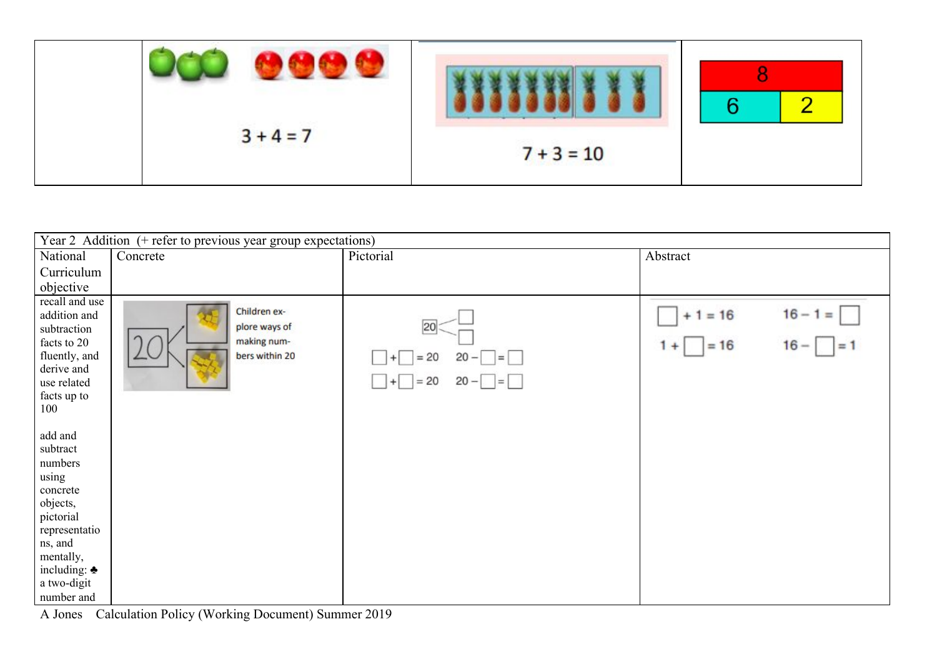|             |              | $\sqrt{2}$ |
|-------------|--------------|------------|
| $3 + 4 = 7$ | $7 + 3 = 10$ |            |

| Year 2 Addition (+ refer to previous year group expectations)                                                                                                                |                                                                |                                                                  |                                                              |  |
|------------------------------------------------------------------------------------------------------------------------------------------------------------------------------|----------------------------------------------------------------|------------------------------------------------------------------|--------------------------------------------------------------|--|
| National                                                                                                                                                                     | Concrete                                                       | Pictorial                                                        | Abstract                                                     |  |
| Curriculum                                                                                                                                                                   |                                                                |                                                                  |                                                              |  |
| objective                                                                                                                                                                    |                                                                |                                                                  |                                                              |  |
| recall and use<br>addition and<br>subtraction<br>facts to 20<br>fluently, and<br>derive and<br>use related<br>facts up to<br>100                                             | Children ex-<br>plore ways of<br>making num-<br>bers within 20 | 20<br>$= 20$<br>$20 -$<br>$=$<br>L.<br>$= 20$<br>$20  =$<br>$+1$ | $16 - 1 =$<br>$+1 = 16$<br>$= 16$<br>$16 -$<br>$1+$<br>$= 1$ |  |
| add and<br>subtract<br>numbers<br>using<br>concrete<br>objects,<br>pictorial<br>representatio<br>ns, and<br>mentally,<br>including: $\triangle$<br>a two-digit<br>number and |                                                                |                                                                  |                                                              |  |

A Jones Calculation Policy (Working Document) Summer 2019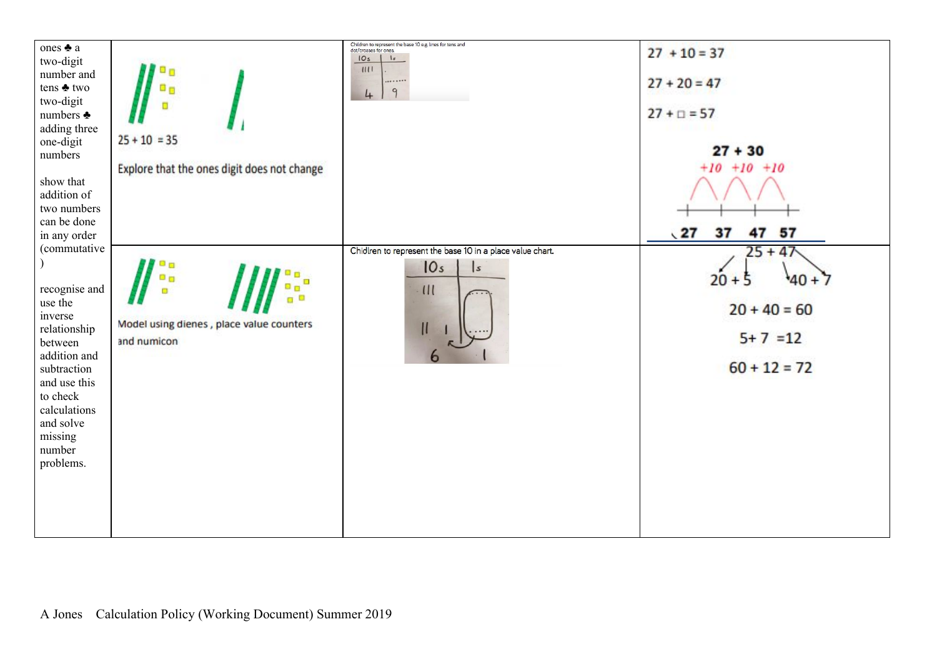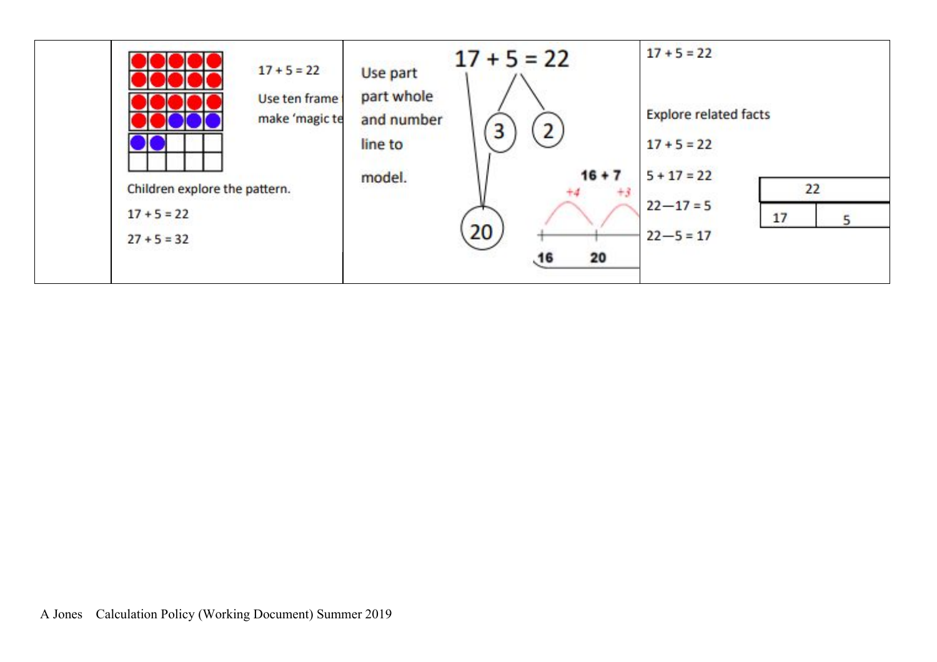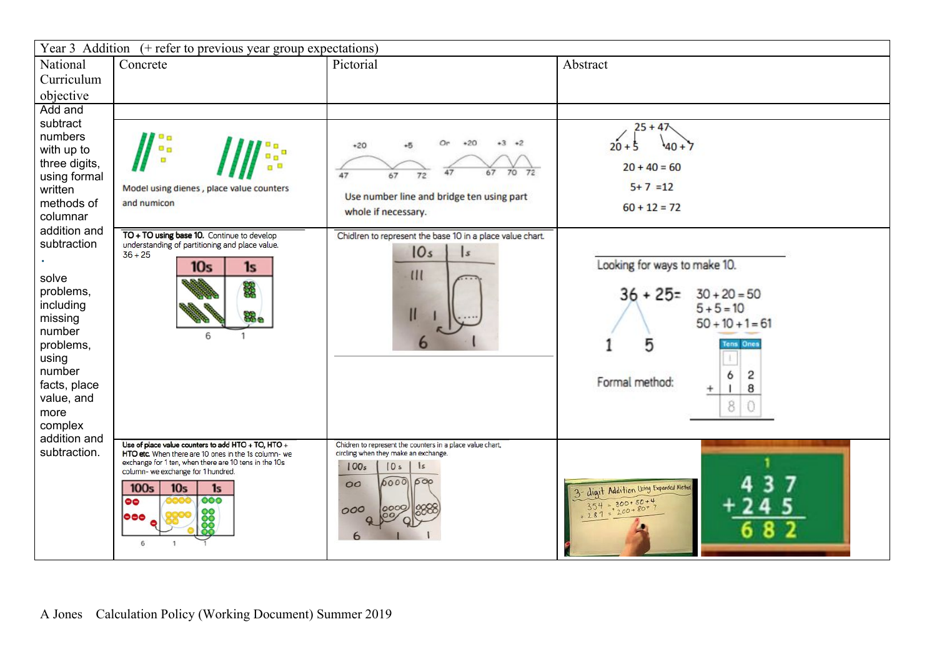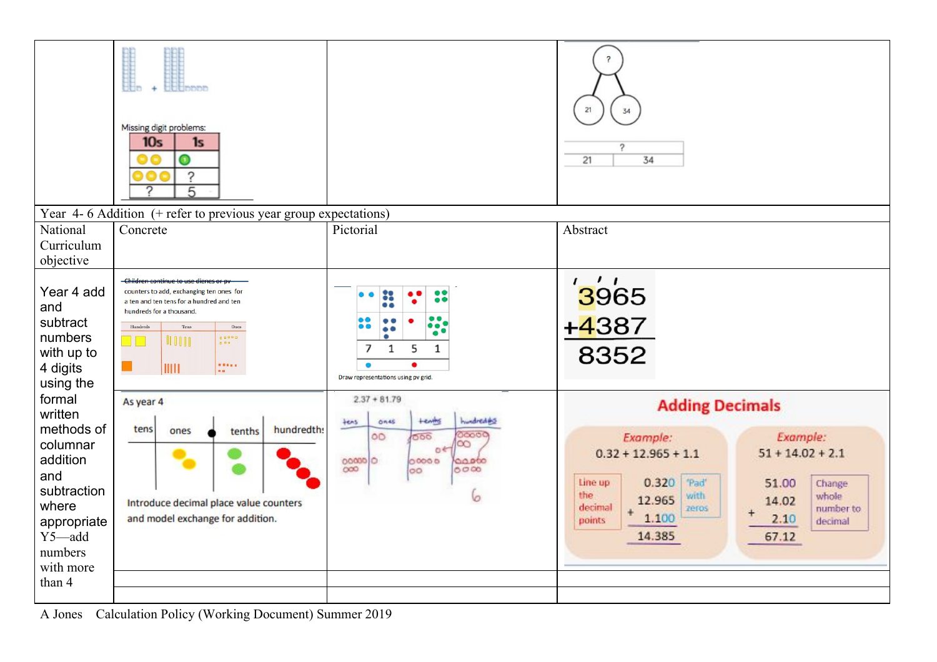

A Jones Calculation Policy (Working Document) Summer 2019